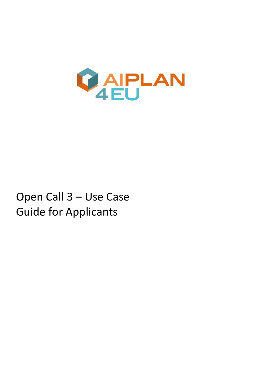

# Open Call 3 – Use Case Guide for Applicants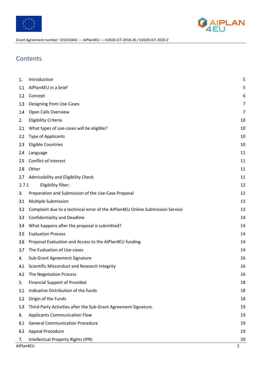



# **Contents**

| 1.        | Introduction                                                                  | 5              |
|-----------|-------------------------------------------------------------------------------|----------------|
| 1.1       | AIPlan4EU in a brief                                                          | 5              |
| 1.2       | Concept                                                                       | 6              |
| 1.3       | Designing from Use-Cases                                                      | 7              |
| 1.4       | Open Calls Overview                                                           | $\overline{7}$ |
| 2.        | <b>Eligibility Criteria</b>                                                   | 10             |
| 2.1       | What types of use-cases will be eligible?                                     | 10             |
| 2.2       | Type of Applicants                                                            | 10             |
| 2.3       | <b>Eligible Countries</b>                                                     | 10             |
| 2.4       | Language                                                                      | 11             |
| 2.5       | Conflict of Interest                                                          | 11             |
| 2.6       | Other                                                                         | 11             |
| 2.7       | Admissibility and Eligibility Check                                           | 11             |
| 2.7.1     | Eligibility filter:                                                           | 12             |
| 3.        | Preparation and Submission of the Use-Case Proposal                           | 12             |
| 3.1       | Multiple Submission                                                           | 13             |
| 3.2       | Complaint due to a technical error of the AIPlan4EU Online Submission Service | 13             |
| 3.3       | <b>Confidentiality and Deadline</b>                                           | 14             |
| 3.4       | What happens after the proposal is submitted?                                 | 14             |
| 3.5       | <b>Evaluation Process</b>                                                     | 14             |
| 3.6       | Proposal Evaluation and Access to the AIPlan4EU funding                       | 14             |
| 3.7       | The Evaluation of Use-cases                                                   | 14             |
| 4.        | Sub-Grant Agreement Signature                                                 | 16             |
| 4.1       | Scientific Misconduct and Research Integrity                                  | 16             |
| 4.2       | The Negotiation Process                                                       | 16             |
| 5.        | <b>Financial Support of Provided</b>                                          | 18             |
| 5.1       | Indicative Distribution of the funds                                          | 18             |
| 5.2       | Origin of the Funds                                                           | 18             |
| 5.3       | Third-Party Activities after the Sub-Grant Agreement Signature.               | 19             |
| 6.        | <b>Applicants Communication Flow</b>                                          | 19             |
| 6.1       | <b>General Communication Procedure</b>                                        | 19             |
| 6.2       | Appeal Procedure                                                              | 19             |
| 7.        | Intellectual Property Rights (IPR)                                            | 20             |
| AIPlan4EU |                                                                               | $\overline{2}$ |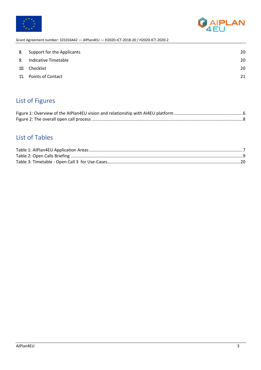



| 8. | Support for the Applicants | 20 |
|----|----------------------------|----|
| 9. | Indicative Timetable       | 20 |
|    | 10. Checklist              | 20 |
|    | 11. Points of Contact      | 21 |
|    |                            |    |

# List of Figures

# List of Tables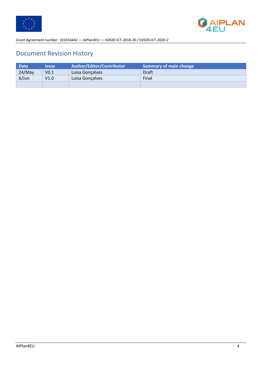



# Document Revision History

| <b>Date</b> | <b>Issue</b>     | <b>Author/Editor/Contributor</b> | Summary of main change |
|-------------|------------------|----------------------------------|------------------------|
| 24/May      | V <sub>0.1</sub> | Luisa Gonçalves                  | Draft                  |
| $6/$ Jun    | V1.0             | Luisa Gonçalves                  | Final                  |
|             |                  |                                  |                        |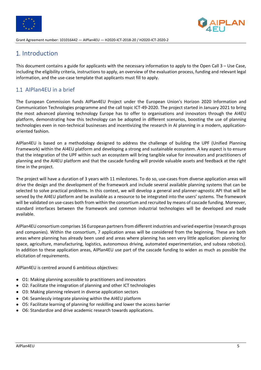



# 1. Introduction

This document contains a guide for applicants with the necessary information to apply to the Open Call 3 – Use Case, including the eligibility criteria, instructions to apply, an overview of the evaluation process, funding and relevant legal information, and the use-case template that applicants must fill to apply.

#### 1.1 AIPlan4EU in a brief

The European Commission funds AIPlan4EU Project under the European Union's Horizon 2020 Information and Communication Technologies programme and the call topic ICT-49-2020. The project started in January 2021 to bring the most advanced planning technology Europe has to offer to organisations and innovators through the AI4EU platform, demonstrating how this technology can be adopted in different scenarios, boosting the use of planning technologies even in non-technical businesses and incentivizing the research in AI planning in a modern, applicationoriented fashion.

AIPlan4EU is based on a methodology designed to address the challenge of building the UPF (Unified Planning Framework) within the AI4EU platform and developing a strong and sustainable ecosystem. A key aspect is to ensure that the integration of the UPF within such an ecosystem will bring tangible value for innovators and practitioners of planning and the AI4EU platform and that the cascade funding will provide valuable assets and feedback at the right time in the project.

The project will have a duration of 3 years with 11 milestones. To do so, use-cases from diverse application areas will drive the design and the development of the framework and include several available planning systems that can be selected to solve practical problems. In this context, we will develop a general and planner-agnostic API that will be served by the AI4EU platform and be available as a resource to be integrated into the users' systems. The framework will be validated on use-cases both from within the consortium and recruited by means of cascade funding. Moreover, standard interfaces between the framework and common industrial technologies will be developed and made available.

AIPlan4EU consortium comprises 16 European partners from different industries and varied expertise (research groups and companies). Within the consortium, 7 application areas will be considered from the beginning. These are both areas where planning has already been used and areas where planning has seen very little application: planning for space, agriculture, manufacturing, logistics, autonomous driving, automated experimentation, and subsea robotics). In addition to these application areas, AIPlan4EU use part of the cascade funding to widen as much as possible the elicitation of requirements.

AIPlan4EU is centred around 6 ambitious objectives:

- O1: Making planning accessible to practitioners and innovators
- O2: Facilitate the integration of planning and other ICT technologies
- O3: Making planning relevant in diverse application sectors
- O4: Seamlessly integrate planning within the AI4EU platform
- O5: Facilitate learning of planning for reskilling and lower the access barrier
- O6: Standardize and drive academic research towards applications.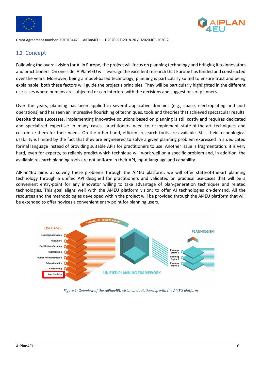



#### 1.2 Concept

Following the overall vision for AI in Europe, the project will focus on planning technology and bringing it to innovators and practitioners. On one side, AIPlan4EU will leverage the excellent research that Europe has funded and constructed over the years. Moreover, being a model-based technology, planning is particularly suited to ensure trust and being explainable: both these factors will guide the project's principles. They will be particularly highlighted in the different use-cases where humans are subjected or can interfere with the decisions and suggestions of planners.

Over the years, planning has been applied in several applicative domains (e.g., space, electroplating and port operations) and has seen an impressive flourishing of techniques, tools and theories that achieved spectacular results. Despite these successes, implementing innovative solutions based on planning is still costly and requires dedicated and specialized expertise: in many cases, practitioners need to re-implement state-of-the-art techniques and customize them for their needs. On the other hand, efficient research tools are available. Still, their technological usability is limited by the fact that they are engineered to solve a given planning problem expressed in a dedicated formal language instead of providing suitable APIs for practitioners to use. Another issue is fragmentation: it is very hard, even for experts, to reliably predict which technique will work well on a specific problem and, in addition, the available research planning tools are not uniform in their API, input language and capability.

AIPlan4EU aims at solving these problems through the AI4EU platform: we will offer state-of-the-art planning technology through a unified API designed for practitioners and validated on practical use-cases that will be a convenient entry-point for any innovator willing to take advantage of plan-generation techniques and related technologies. This goal aligns well with the AI4EU platform vision: to offer AI technologies on-demand. All the resources and the methodologies developed within the project will be provided through the AI4EU platform that will be extended to offer novices a convenient entry point for planning users.



*Figure 1: Overview of the AIPlan4EU vision and relationship with the AI4EU platform*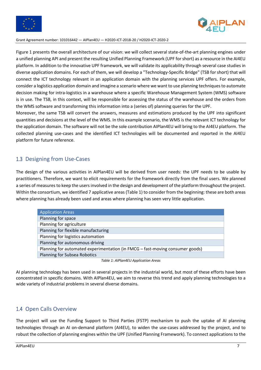



Figure 1 presents the overall architecture of our vision: we will collect several state-of-the-art planning engines under a unified planning API and present the resulting Unified Planning Framework (UPF for short) as a resource in the AI4EU platform. In addition to the innovative UPF framework, we will validate its applicability through several case studies in diverse application domains. For each of them, we will develop a "Technology-Specific Bridge" (TSB for short) that will connect the ICT technology relevant in an application domain with the planning services UPF offers. For example, consider a logistics application domain and imagine a scenario where we want to use planning techniques to automate decision making for intra-logistics in a warehouse where a specific Warehouse Management System (WMS) software is in use. The TSB, in this context, will be responsible for assessing the status of the warehouse and the orders from the WMS software and transforming this information into a (series of) planning queries for the UPF.

Moreover, the same TSB will convert the answers, measures and estimations produced by the UPF into significant quantities and decisions at the level of the WMS. In this example scenario, the WMS is the relevant ICT technology for the application domain. The software will not be the sole contribution AIPlan4EU will bring to the AI4EU platform. The collected planning use-cases and the identified ICT technologies will be documented and reported in the AI4EU platform for future reference.

#### 1.3 Designing from Use-Cases

The design of the various activities in AIPlan4EU will be derived from user needs: the UPF needs to be usable by practitioners. Therefore, we want to elicit requirements for the framework directly from the final users. We planned a series of measures to keep the users involved in the design and development of the platform throughout the project. Within the consortium, we identified 7 applicative areas (Table 1) to consider from the beginning: these are both areas where planning has already been used and areas where planning has seen very little application.

| <b>Application Areas</b>                                                      |
|-------------------------------------------------------------------------------|
| Planning for space                                                            |
| Planning for agriculture                                                      |
| Planning for flexible manufacturing                                           |
| Planning for logistics automation                                             |
| Planning for autonomous driving                                               |
| Planning for automated experimentation (in FMCG - fast-moving consumer goods) |
| <b>Planning for Subsea Robotics</b>                                           |
|                                                                               |

*Table 1: AIPlan4EU Application Areas*

AI planning technology has been used in several projects in the industrial world, but most of these efforts have been concentrated in specific domains. With AIPlan4EU, we aim to reverse this trend and apply planning technologies to a wide variety of industrial problems in several diverse domains.

#### 1.4 Open Calls Overview

The project will use the Funding Support to Third Parties (FSTP) mechanism to push the uptake of AI planning technologies through an AI on-demand platform (AI4EU), to widen the use-cases addressed by the project, and to robust the collection of planning engines within the UPF (Unified Planning Framework). To connect applications to the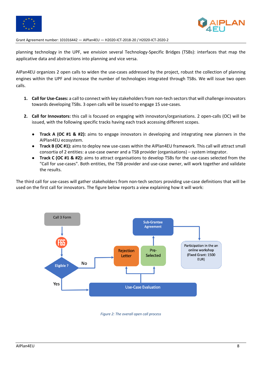



planning technology in the UPF, we envision several Technology-Specific Bridges (TSBs): interfaces that map the applicative data and abstractions into planning and vice versa.

AIPan4EU organizes 2 open calls to widen the use-cases addressed by the project, robust the collection of planning engines within the UPF and increase the number of technologies integrated through TSBs. We will issue two open calls.

- **1. Call for Use-Cases:** a call to connect with key stakeholders from non-tech sectors that will challenge innovators towards developing TSBs. 3 open calls will be issued to engage 15 use-cases.
- **2. Call for Innovators:** this call is focused on engaging with innovators/organisations. 2 open-calls (OC) will be issued, with the following specific tracks having each track accessing different scopes.
	- **Track A (OC #1 & #2):** aims to engage innovators in developing and integrating new planners in the AIPlan4EU ecosystem.
	- **Track B (OC #1):** aims to deploy new use-cases within the AIPlan4EU framework. This call will attract small consortia of 2 entities: a use-case owner and a TSB provider (organisations) – system integrator.
	- **Track C (OC #1 & #2):** aims to attract organisations to develop TSBs for the use-cases selected from the "Call for use-cases". Both entities, the TSB provider and use-case owner, will work together and validate the results.

The third call for use-cases will gather stakeholders from non-tech sectors providing use-case definitions that will be used on the first call for innovators. The figure below reports a view explaining how it will work:



*Figure 2: The overall open call process*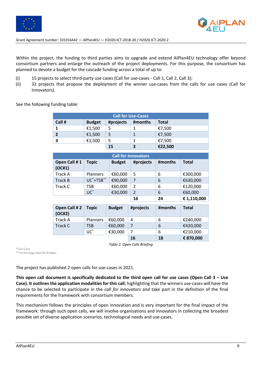



Within the project, the funding to third parties aims to upgrade and extend AIPlan4EU technology offer beyond consortium partners and enlarge the outreach of the project deployments. For this purpose, the consortium has planned to devote a budget for the cascade funding across a total of up to:

- (i) 15 projects to select third-party use cases (Call for use-cases Call 1, Call 2, Call 3);
- (ii) 32 projects that propose the deployment of the winner use-cases from the calls for use cases (Call for Innovators).

See the following funding table:

| <b>Call for Use-Cases</b> |               |           |         |              |  |
|---------------------------|---------------|-----------|---------|--------------|--|
| Call #                    | <b>Budget</b> | #projects | #months | <b>Total</b> |  |
|                           | €1,500        | 5         |         | €7,500       |  |
|                           | €1,500        | 5         |         | €7,500       |  |
| 3                         | €1,500        | 5         |         | €7,500       |  |
|                           |               | 15        | 3       | €22,500      |  |

|                        |                                    |               | <b>Call for Innovators</b> |         |              |
|------------------------|------------------------------------|---------------|----------------------------|---------|--------------|
| Open Call #1<br>(OC#1) | <b>Topic</b>                       | <b>Budget</b> | #projects                  | #months | <b>Total</b> |
| <b>Track A</b>         | <b>Planners</b>                    | €60,000       | 5                          | 6       | €300,000     |
| Track B                | UC <sup>*+</sup> TSB <sup>**</sup> | €90,000       | 7                          | 6       | €630,000     |
| Track C                | TSB                                | €60,000       | $\overline{2}$             | 6       | €120,000     |
|                        | $UC^*$                             | €30,000       | $\overline{2}$             | 6       | €60,000      |
|                        |                                    |               | 16                         | 24      | € 1,110,000  |
|                        |                                    |               |                            |         |              |
| Open Call #2<br>(OC#2) | <b>Topic</b>                       | <b>Budget</b> | #projects                  | #months | <b>Total</b> |
| Track A                | <b>Planners</b>                    | €60,000       | 4                          | 6       | €240,000     |
| Track C                | <b>TSB</b>                         | €60,000       | $\overline{7}$             | 6       | €420,000     |
|                        | $UC^*$                             | €30,000       | $\overline{7}$             | 6       | €210,000     |

*Table 2: Open Calls Briefing*

\*Use-Case \*\*Technology-Specific Bridges

The project has published 2 open calls for use-cases in 2021.

**This open call document is specifically dedicated to the third open call for use cases (Open Call 3 – Use Case). It outlinesthe application modalities for this call**, highlighting that the winners use-cases will have the chance to be selected to participate in the *call for innovators* and take part in the definition of the final requirements for the framework with consortium members.

This mechanism follows the principles of open innovation and is very important for the final impact of the framework: through such open calls, we will involve organisations and innovators in collecting the broadest possible set of diverse application scenarios, technological needs and use-cases.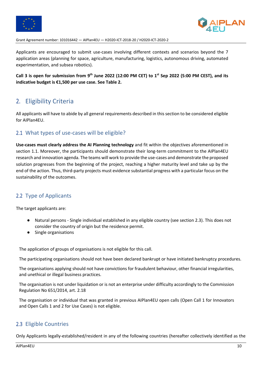



Applicants are encouraged to submit use-cases involving different contexts and scenarios beyond the 7 application areas (planning for space, agriculture, manufacturing, logistics, autonomous driving, automated experimentation, and subsea robotics).

**Call 3 is open for submission from 9th June 2022 (12:00 PM CET) to 1st Sep 2022 (5:00 PM CEST), and its indicative budget is €1,500 per use case. See Table 2.**

### 2. Eligibility Criteria

All applicants will have to abide by all general requirements described in this section to be considered eligible for AIPlan4EU.

#### 2.1 What types of use-cases will be eligible?

**Use-cases must clearly address the AI Planning technology** and fit within the objectives aforementioned in section 1.1. Moreover, the participants should demonstrate their long-term commitment to the AIPlan4EU research and innovation agenda. The teams will work to provide the use-cases and demonstrate the proposed solution progresses from the beginning of the project, reaching a higher maturity level and take up by the end of the action. Thus, third-party projects must evidence substantial progress with a particular focus on the sustainability of the outcomes.

#### 2.2 Type of Applicants

The target applicants are:

- Natural persons Single individual established in any eligible country (see section 2.3). This does not consider the country of origin but the residence permit.
- Single organisations

The application of groups of organisations is not eligible for this call.

The participating organisations should not have been declared bankrupt or have initiated bankruptcy procedures.

The organisations applying should not have convictions for fraudulent behaviour, other financial irregularities, and unethical or illegal business practices.

The organisation is not under liquidation or is not an enterprise under difficulty accordingly to the Commission Regulation No 651/2014, art. 2.18

The organisation or individual that was granted in previous AIPlan4EU open calls (Open Call 1 for Innovators and Open Calls 1 and 2 for Use Cases) is not eligible.

#### 2.3 Eligible Countries

Only Applicants legally-established/resident in any of the following countries (hereafter collectively identified as the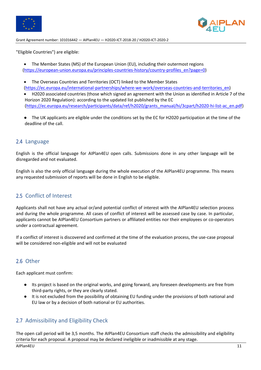



"Eligible Countries") are eligible:

• The Member States (MS) of the European Union (EU), including their outermost regions (https://european-union.europa.eu/principles-countries-history/country-profiles\_en?page=0)

• The Overseas Countries and Territories (OCT) linked to the Member States (https://ec.europa.eu/international-partnerships/where-we-work/overseas-countries-and-territories\_en)

• H2020 associated countries (those which signed an agreement with the Union as identified in Article 7 of the Horizon 2020 Regulation): according to the updated list published by the EC (https://ec.europa.eu/research/participants/data/ref/h2020/grants\_manual/hi/3cpart/h2020-hi-list-ac\_en.pdf)

● The UK applicants are eligible under the conditions set by the EC for H2020 participation at the time of the deadline of the call.

#### 2.4 Language

English is the official language for AIPlan4EU open calls. Submissions done in any other language will be disregarded and not evaluated.

English is also the only official language during the whole execution of the AIPlan4EU programme. This means any requested submission of reports will be done in English to be eligible.

#### 2.5 Conflict of Interest

Applicants shall not have any actual or/and potential conflict of interest with the AIPlan4EU selection process and during the whole programme. All cases of conflict of interest will be assessed case by case. In particular, applicants cannot be AIPlan4EU Consortium partners or affiliated entities nor their employees or co-operators under a contractual agreement.

If a conflict of interest is discovered and confirmed at the time of the evaluation process, the use-case proposal will be considered non-eligible and will not be evaluated

#### 2.6 Other

Each applicant must confirm:

- Its project is based on the original works, and going forward, any foreseen developments are free from third-party rights, or they are clearly stated.
- It is not excluded from the possibility of obtaining EU funding under the provisions of both national and EU law or by a decision of both national or EU authorities.

#### 2.7 Admissibility and Eligibility Check

The open call period will be 3,5 months. The AIPlan4EU Consortium staff checks the admissibility and eligibility criteria for each proposal. A proposal may be declared ineligible or inadmissible at any stage.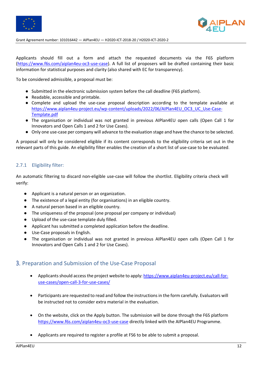



Applicants should fill out a form and attach the requested documents via the F6S platform (https://www.f6s.com/aiplan4eu-oc3-use-case). A full list of proposers will be drafted containing their basic information for statistical purposes and clarity (also shared with EC for transparency).

To be considered admissible, a proposal must be:

- Submitted in the electronic submission system before the call deadline (F6S platform).
- Readable, accessible and printable.
- Complete and upload the use-case proposal description according to the template available at https://www.aiplan4eu-project.eu/wp-content/uploads/2022/06/AIPlan4EU\_OC3\_UC\_Use-Case-Template.pdf
- The organisation or individual was not granted in previous AIPlan4EU open calls (Open Call 1 for Innovators and Open Calls 1 and 2 for Use Cases).
- Only one use-case per company will advance to the evaluation stage and have the chance to be selected.

A proposal will only be considered eligible if its content corresponds to the eligibility criteria set out in the relevant parts of this guide. An eligibility filter enables the creation of a short list of use-case to be evaluated.

#### 2.7.1 Eligibility filter:

An automatic filtering to discard non-eligible use-case will follow the shortlist. Eligibility criteria check will verify:

- Applicant is a natural person or an organization.
- The existence of a legal entity (for organisations) in an eligible country.
- A natural person based in an eligible country.
- The uniqueness of the proposal (one proposal per company or individual)
- Upload of the use-case template duly filled.
- Applicant has submitted a completed application before the deadline.
- Use-Case proposals in English.
- The organisation or individual was not granted in previous AIPlan4EU open calls (Open Call 1 for Innovators and Open Calls 1 and 2 for Use Cases).

#### 3. Preparation and Submission of the Use-Case Proposal

- Applicants should access the project website to apply: https://www.aiplan4eu-project.eu/call-foruse-cases/open-call-3-for-use-cases/
- Participants are requested to read and follow the instructions in the form carefully. Evaluators will be instructed not to consider extra material in the evaluation.
- On the website, click on the Apply button. The submission will be done through the F6S platform https://www.f6s.com/aiplan4eu-oc3-use-case directly linked with the AIPlan4EU Programme.
- Applicants are required to register a profile at FS6 to be able to submit a proposal.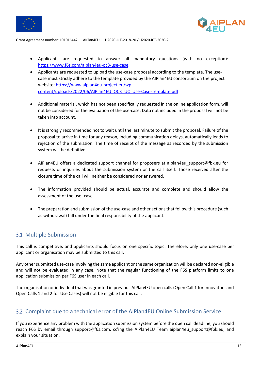



- Applicants are requested to answer all mandatory questions (with no exception): https://www.f6s.com/aiplan4eu-oc3-use-case.
- Applicants are requested to upload the use-case proposal according to the template. The usecase must strictly adhere to the template provided by the AIPlan4EU consortium on the project website: https://www.aiplan4eu-project.eu/wpcontent/uploads/2022/06/AIPlan4EU\_OC3\_UC\_Use-Case-Template.pdf
- Additional material, which has not been specifically requested in the online application form, will not be considered for the evaluation of the use-case. Data not included in the proposal will not be taken into account.
- It is strongly recommended not to wait until the last minute to submit the proposal. Failure of the proposal to arrive in time for any reason, including communication delays, automatically leads to rejection of the submission. The time of receipt of the message as recorded by the submission system will be definitive.
- AIPlan4EU offers a dedicated support channel for proposers at aiplan4eu support@fbk.eu for requests or inquiries about the submission system or the call itself. Those received after the closure time of the call will neither be considered nor answered.
- The information provided should be actual, accurate and complete and should allow the assessment of the use- case.
- The preparation and submission of the use-case and other actions that follow this procedure (such as withdrawal) fall under the final responsibility of the applicant.

#### 3.1 Multiple Submission

This call is competitive, and applicants should focus on one specific topic. Therefore, only one use-case per applicant or organisation may be submitted to this call.

Any other submitted use-case involving the same applicant or the same organization will be declared non-eligible and will not be evaluated in any case. Note that the regular functioning of the F6S platform limits to one application submission per F6S user in each call.

The organisation or individual that was granted in previous AIPlan4EU open calls (Open Call 1 for Innovators and Open Calls 1 and 2 for Use Cases) will not be eligible for this call.

#### 3.2 Complaint due to a technical error of the AIPlan4EU Online Submission Service

If you experience any problem with the application submission system before the open call deadline, you should reach F6S by email through support@f6s.com, cc'ing the AIPlan4EU Team aiplan4eu support@fbk.eu, and explain your situation.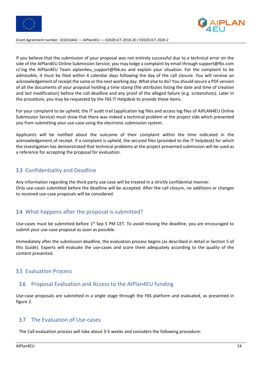



If you believe that the submission of your proposal was not entirely successful due to a technical error on the side of the AIPlan4EU Online Submission Service, you may lodge a complaint by email through support@f6s.com cc'ing the AIPlan4EU Team aiplan4eu\_support@fbk.eu and explain your situation. For the complaint to be admissible, it must be filed within 4 calendar days following the day of the call closure. You will receive an acknowledgement of receipt the same or the next working day. What else to do? You should secure a PDF version of all the documents of your proposal holding a time stamp (file attributes listing the date and time of creation and last modification) before the call deadline and any proof of the alleged failure (e.g. screenshots). Later in the procedure, you may be requested by the F6S IT Helpdesk to provide these items.

For your complaint to be upheld, the IT audit trail (application log files and access log files of AIPLAN4EU Online Submission Service) must show that there was indeed a technical problem at the project side which prevented you from submitting your use-case using the electronic submission system.

Applicants will be notified about the outcome of their complaint within the time indicated in the acknowledgement of receipt. If a complaint is upheld, the secured files (provided to the IT helpdesk) for which the investigation has demonstrated that technical problems at the project prevented submission will be used as a reference for accepting the proposal for evaluation.

#### 3.3 Confidentiality and Deadline

Any information regarding the third-party use-case will be treated in a strictly confidential manner. Only use-cases submitted before the deadline will be accepted. After the call closure, no additions or changes to received use-case proposals will be considered.

#### 3.4 What happens after the proposal is submitted?

Use-cases must be submitted before 1<sup>st</sup> Sep 5 PM CET. To avoid missing the deadline, you are encouraged to submit your use-case proposal as soon as possible.

Immediately after the submission deadline, the evaluation process begins (as described in detail in Section 5 of this Guide). Experts will evaluate the use-cases and score them adequately according to the quality of the content presented.

#### 3.5 Evaluation Process

#### 3.6 Proposal Evaluation and Access to the AIPlan4EU funding

Use-case proposals are submitted in a single stage through the F6S platform and evaluated, as presented in figure 2.

#### 3.7 The Evaluation of Use-cases

The Call evaluation process will take about 3-5 weeks and considers the following procedure: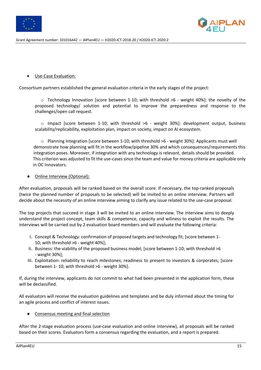



#### Use-Case Evaluation:

Consortium partners established the general evaluation criteria in the early stages of the project:

o Technology Innovation [score between 1-10; with threshold >6 - weight 40%]: the novelty of the proposed technology/ solution and potential to improve the preparedness and response to the challenges/open call request.

 $\circ$  Impact [score between 1-10; with threshold  $>6$  - weight 30%]: development output, business scalability/replicability, exploitation plan, impact on society, impact on AI ecosystem.

o Planning Integration [score between 1-10; with threshold >6 - weight 30%]: Applicants must well demonstrate how planning will fit in the workflow/pipeline 30% and which consequences/requirements this integration poses. Moreover, if integration with any technology is relevant, details should be provided. This criterion was adjusted to fit the use-cases since the team and value for money criteria are applicable only in OC Innovators.

#### Online Interview (Optional):

After evaluation, proposals will be ranked based on the overall score. If necessary, the top-ranked proposals (twice the planned number of proposals to be selected) will be invited to an online interview. Partners will decide about the necessity of an online interview aiming to clarify any issue related to the use-case proposal.

The top projects that succeed in stage 3 will be invited to an online interview. The interview aims to deeply understand the project concept, team skills & competence, capacity and wiliness to exploit the results. The interviews will be carried out by 2 evaluation board members and will evaluate the following criteria:

- i. Concept & Technology: confirmation of proposed targets and technology fit; [score between 1- 10; with threshold >6 - weight 40%];
- ii. Business: the viability of the proposed business model; [score between 1-10; with threshold >6 - weight 30%];
- iii. Exploitation: reliability to reach milestones; readiness to present to investors & corporates; [score between 1- 10; with threshold >6 - weight 30%].

If, during the interview, applicants do not commit to what had been presented in the application form, these will be declassified.

All evaluators will receive the evaluation guidelines and templates and be duly informed about the timing for an agile process and conflict of interest issues.

Consensus meeting and final selection

After the 2-stage evaluation process (use-case evaluation and online interview), all proposals will be ranked based on their scores. Evaluators form a consensus regarding the evaluation, and a report is prepared.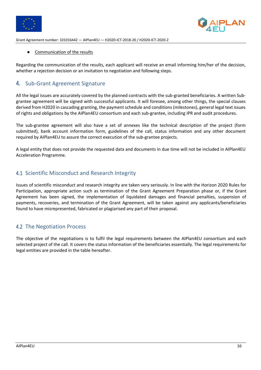



Communication of the results

Regarding the communication of the results, each applicant will receive an email informing him/her of the decision, whether a rejection decision or an invitation to negotiation and following steps.

#### 4. Sub-Grant Agreement Signature

All the legal issues are accurately covered by the planned contracts with the sub-granted beneficiaries. A written Subgrantee agreement will be signed with successful applicants. It will foresee, among other things, the special clauses derived from H2020 in cascading granting, the payment schedule and conditions (milestones), general legal text issues of rights and obligations by the AIPlan4EU consortium and each sub-grantee, including IPR and audit procedures.

The sub-grantee agreement will also have a set of annexes like the technical description of the project (form submitted), bank account information form, guidelines of the call, status information and any other document required by AIPlan4EU to assure the correct execution of the sub-grantee projects.

A legal entity that does not provide the requested data and documents in due time will not be included in AIPlan4EU Acceleration Programme.

#### 4.1 Scientific Misconduct and Research Integrity

Issues of scientific misconduct and research integrity are taken very seriously. In line with the Horizon 2020 Rules for Participation, appropriate action such as termination of the Grant Agreement Preparation phase or, if the Grant Agreement has been signed, the implementation of liquidated damages and financial penalties, suspension of payments, recoveries, and termination of the Grant Agreement, will be taken against any applicants/beneficiaries found to have misrepresented, fabricated or plagiarised any part of their proposal.

#### 4.2 The Negotiation Process

The objective of the negotiations is to fulfil the legal requirements between the AIPlan4EU consortium and each selected project of the call. It covers the status information of the beneficiaries essentially. The legal requirements for legal entities are provided in the table hereafter.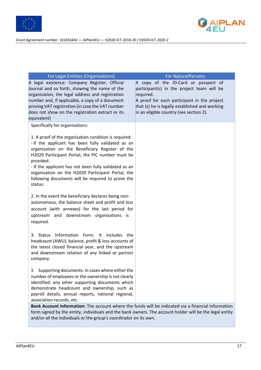



| For Legal Entities (Organisations)                                                                                                                                                                                                                                                                                                                                                                           | <b>For Natural Persons</b>                                                                                                                                                                                                                  |
|--------------------------------------------------------------------------------------------------------------------------------------------------------------------------------------------------------------------------------------------------------------------------------------------------------------------------------------------------------------------------------------------------------------|---------------------------------------------------------------------------------------------------------------------------------------------------------------------------------------------------------------------------------------------|
| A legal existence: Company Register, Official<br>Journal and so forth, showing the name of the<br>organization, the legal address and registration<br>number and, if applicable, a copy of a document<br>proving VAT registration (in case the VAT number<br>does not show on the registration extract or its                                                                                                | A copy of the ID-Card or passport of<br>participant(s) in the project team will be<br>required.<br>A proof for each participant in the project<br>that (s) he is legally established and working<br>in an eligible country (see section 2). |
| equivalent)                                                                                                                                                                                                                                                                                                                                                                                                  |                                                                                                                                                                                                                                             |
| Specifically for organisations:                                                                                                                                                                                                                                                                                                                                                                              |                                                                                                                                                                                                                                             |
| 1. A proof of the organisation condition is required:<br>- If the applicant has been fully validated as an<br>organisation on the Beneficiary Register of the<br>H2020 Participant Portal, the PIC number must be<br>provided.<br>- If the applicant has not been fully validated as an<br>organisation on the H2020 Participant Portal, the<br>following documents will be required to prove the<br>status: |                                                                                                                                                                                                                                             |
| 2. In the event the beneficiary declares being non-<br>autonomous, the balance sheet and profit and loss<br>account (with annexes) for the last period for<br>upstream and downstream organizations is<br>required.                                                                                                                                                                                          |                                                                                                                                                                                                                                             |
| 3. Status Information Form. It includes the<br>headcount (AWU), balance, profit & loss accounts of<br>the latest closed financial year, and the upstream<br>and downstream relation of any linked or partner<br>company.                                                                                                                                                                                     |                                                                                                                                                                                                                                             |
| 3. Supporting documents. In cases where either the<br>number of employees or the ownership is not clearly<br>identified: any other supporting documents which<br>demonstrate headcount and ownership, such as<br>payroll details, annual reports, national regional,<br>association records, etc.                                                                                                            |                                                                                                                                                                                                                                             |
| Bank Account Information: The account where the funds will be indicated via a financial information<br>form signed by the entity, individuals and the bank owners. The account holder will be the legal entity<br>and/or all the individuals or the group's coordinator on its own.                                                                                                                          |                                                                                                                                                                                                                                             |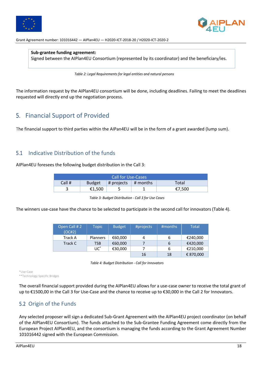



**Sub-grantee funding agreement:** Signed between the AIPlan4EU Consortium (represented by its coordinator) and the beneficiary/ies.

*Table 2: Legal Requirements for legal entities and natural persons* 

The information request by the AIPlan4EU consortium will be done, including deadlines. Failing to meet the deadlines requested will directly end up the negotiation process.

# 5. Financial Support of Provided

The financial support to third parties within the AIPan4EU will be in the form of a grant awarded (lump sum).

#### 5.1 Indicative Distribution of the funds

AIPlan4EU foresees the following budget distribution in the Call 3:

| <b>Call for Use-Cases</b>                                            |        |  |  |        |  |
|----------------------------------------------------------------------|--------|--|--|--------|--|
| Call #<br>$\#$ projects $\#$ months<br><b>Total</b><br><b>Budget</b> |        |  |  |        |  |
|                                                                      | €1.500 |  |  | €7,500 |  |

*Table 3: Budget Distribution - Call 3 for Use Cases*

The winners use-case have the chance to be selected to participate in the second call for innovators (Table 4).

| Open Call #2<br>(OC#2) | Topic           | <b>Budget</b> | #projects | #months | <b>Total</b> |
|------------------------|-----------------|---------------|-----------|---------|--------------|
| Track A                | <b>Planners</b> | €60,000       | 4         | 6       | €240,000     |
| Track C                | TSB             | €60,000       |           | 6       | €420,000     |
|                        | UC <sup>*</sup> | €30,000       |           | 6       | €210,000     |
|                        |                 |               | 16        | 18      | € 870,000    |

*Table 4: Budget Distribution - Call for Innovators* 

\*Use-Case

\*\*Technology-Specific Bridges

The overall financial support provided during the AIPlan4EU allows for a use-case owner to receive the total grant of up to €1500,00 in the Call 3 for Use-Case and the chance to receive up to €30,000 in the Call 2 for Innovators.

### 5.2 Origin of the Funds

Any selected proposer will sign a dedicated Sub-Grant Agreement with the AIPlan4EU project coordinator (on behalf of the AIPlan4EU Consortium). The funds attached to the Sub-Grantee Funding Agreement come directly from the European Project AIPlan4EU, and the consortium is managing the funds according to the Grant Agreement Number 101016442 signed with the European Commission.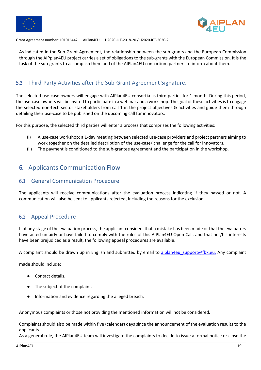



As indicated in the Sub-Grant Agreement, the relationship between the sub-grants and the European Commission through the AIPplan4EU project carries a set of obligations to the sub-grants with the European Commission. It is the task of the sub-grants to accomplish them and of the AIPlan4EU consortium partners to inform about them.

#### 5.3 Third-Party Activities after the Sub-Grant Agreement Signature.

The selected use-case owners will engage with AIPlan4EU consortia as third parties for 1 month. During this period, the use-case owners will be invited to participate in a webinar and a workshop. The goal of these activities is to engage the selected non-tech sector stakeholders from call 1 in the project objectives & activities and guide them through detailing their use-case to be published on the upcoming call for innovators.

For this purpose, the selected third parties will enter a process that comprises the following activities:

- (i) A use-case workshop: a 1-day meeting between selected use-case providers and project partners aiming to work together on the detailed description of the use-case/ challenge for the call for innovators.
- (ii) The payment is conditioned to the sub-grantee agreement and the participation in the workshop.

#### 6. Applicants Communication Flow

#### 6.1 General Communication Procedure

The applicants will receive communications after the evaluation process indicating if they passed or not. A communication will also be sent to applicants rejected, including the reasons for the exclusion.

#### 6.2 Appeal Procedure

If at any stage of the evaluation process, the applicant considers that a mistake has been made or that the evaluators have acted unfairly or have failed to comply with the rules of this AIPlan4EU Open Call, and that her/his interests have been prejudiced as a result, the following appeal procedures are available.

A complaint should be drawn up in English and submitted by email to aiplan4eu support@fbk.eu. Any complaint

made should include:

- Contact details.
- The subject of the complaint.
- Information and evidence regarding the alleged breach.

Anonymous complaints or those not providing the mentioned information will not be considered.

Complaints should also be made within five (calendar) days since the announcement of the evaluation results to the applicants.

As a general rule, the AIPlan4EU team will investigate the complaints to decide to issue a formal notice or close the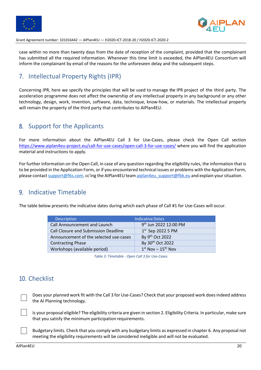



case within no more than twenty days from the date of reception of the complaint, provided that the complainant has submitted all the required information. Whenever this time limit is exceeded, the AIPlan4EU Consortium will inform the complainant by email of the reasons for the unforeseen delay and the subsequent steps.

# 7. Intellectual Property Rights (IPR)

Concerning IPR, here we specify the principles that will be used to manage the IPR project of the third party. The acceleration programme does not affect the ownership of any intellectual property in any background or any other technology, design, work, invention, software, data, technique, know-how, or materials. The intellectual property will remain the property of the third party that contributes to AIPlan4EU.

# 8. Support for the Applicants

For more information about the AIPlan4EU Call 3 for Use-Cases, please check the Open Call section https://www.aiplan4eu-project.eu/call-for-use-cases/open-call-3-for-use-cases/ where you will find the application material and instructions to apply.

For further information on the Open Call, in case of any question regarding the eligibility rules, the information that is to be provided in the Application Form, or if you encountered technical issues or problems with the Application Form, please contact support@f6s.com, cc'ing the AIPlan4EU team aiplan4eu support@fbk.eu and explain your situation.

# 9. Indicative Timetable

The table below presents the indicative dates during which each phase of Call #1 for Use-Cases will occur.

| <b>Description</b>                          | <b>Indicative Dates</b>           |
|---------------------------------------------|-----------------------------------|
| Call Announcement and Launch                | 9 <sup>th</sup> Jun 2022 12:00 PM |
| <b>Call Closure and Submission Deadline</b> | $1st$ Sep 2022 5 PM               |
| Announcement of the selected use-cases      | By 9 <sup>th</sup> Oct 2022       |
| <b>Contracting Phase</b>                    | By 30 <sup>th</sup> Oct 2022      |
| Workshops (available period)                | $1st$ Nov - $15th$ Nov            |

*Table 3: Timetable - Open Call 3 for Use-Cases*

# 10. Checklist

Does your planned work fit with the Call 3 for Use-Cases? Check that your proposed work doesindeed address the AI Planning technology.

Is your proposal eligible? The eligibility criteria are given in section 2. Eligibility Criteria. In particular, make sure that you satisfy the minimum participation requirements.

Budgetary limits. Check that you comply with any budgetary limits as expressed in chapter 6. Any proposal not meeting the eligibility requirements will be considered ineligible and will not be evaluated.